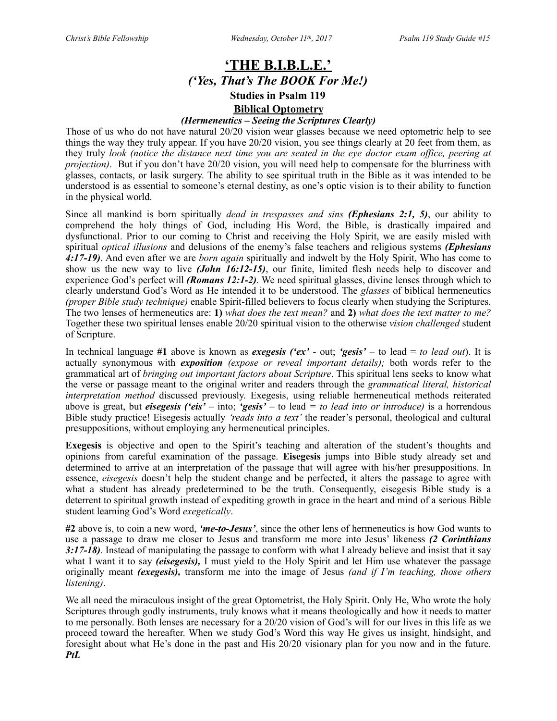## **'THE B.I.B.L.E.'** *('Yes, That's The BOOK For Me!)*  **Studies in Psalm 119**

### **Biblical Optometry**

#### *(Hermeneutics – Seeing the Scriptures Clearly)*

Those of us who do not have natural 20/20 vision wear glasses because we need optometric help to see things the way they truly appear. If you have 20/20 vision, you see things clearly at 20 feet from them, as they truly *look (notice the distance next time you are seated in the eye doctor exam office, peering at projection)*. But if you don't have 20/20 vision, you will need help to compensate for the blurriness with glasses, contacts, or lasik surgery. The ability to see spiritual truth in the Bible as it was intended to be understood is as essential to someone's eternal destiny, as one's optic vision is to their ability to function in the physical world.

Since all mankind is born spiritually *dead in trespasses and sins (Ephesians 2:1, 5)*, our ability to comprehend the holy things of God, including His Word, the Bible, is drastically impaired and dysfunctional. Prior to our coming to Christ and receiving the Holy Spirit, we are easily misled with spiritual *optical illusions* and delusions of the enemy's false teachers and religious systems *(Ephesians 4:17-19)*. And even after we are *born again* spiritually and indwelt by the Holy Spirit, Who has come to show us the new way to live *(John 16:12-15)*, our finite, limited flesh needs help to discover and experience God's perfect will *(Romans 12:1-2)*. We need spiritual glasses, divine lenses through which to clearly understand God's Word as He intended it to be understood. The *glasses* of biblical hermeneutics *(proper Bible study technique)* enable Spirit-filled believers to focus clearly when studying the Scriptures. The two lenses of hermeneutics are: **1)** *what does the text mean?* and **2)** *what does the text matter to me?* Together these two spiritual lenses enable 20/20 spiritual vision to the otherwise *vision challenged* student of Scripture.

In technical language **#1** above is known as *exegesis ('ex'* - out; *'gesis'* – to lead = *to lead out*). It is actually synonymous with *exposition (expose or reveal important details);* both words refer to the grammatical art of *bringing out important factors about Scripture*. This spiritual lens seeks to know what the verse or passage meant to the original writer and readers through the *grammatical literal, historical interpretation method* discussed previously. Exegesis, using reliable hermeneutical methods reiterated above is great, but *eisegesis ('eis' –* into; *'gesis' –* to lead *= to lead into or introduce)* is a horrendous Bible study practice! Eisegesis actually *'reads into a text'* the reader's personal, theological and cultural presuppositions, without employing any hermeneutical principles.

**Exegesis** is objective and open to the Spirit's teaching and alteration of the student's thoughts and opinions from careful examination of the passage. **Eisegesis** jumps into Bible study already set and determined to arrive at an interpretation of the passage that will agree with his/her presuppositions. In essence, *eisegesis* doesn't help the student change and be perfected, it alters the passage to agree with what a student has already predetermined to be the truth. Consequently, eisegesis Bible study is a deterrent to spiritual growth instead of expediting growth in grace in the heart and mind of a serious Bible student learning God's Word *exegetically*.

**#2** above is, to coin a new word, *'me-to-Jesus'*, since the other lens of hermeneutics is how God wants to use a passage to draw me closer to Jesus and transform me more into Jesus' likeness *(2 Corinthians 3:17-18)*. Instead of manipulating the passage to conform with what I already believe and insist that it say what I want it to say *(eisegesis),* I must yield to the Holy Spirit and let Him use whatever the passage originally meant *(exegesis),* transform me into the image of Jesus *(and if I'm teaching, those others listening)*.

We all need the miraculous insight of the great Optometrist, the Holy Spirit. Only He, Who wrote the holy Scriptures through godly instruments, truly knows what it means theologically and how it needs to matter to me personally. Both lenses are necessary for a 20/20 vision of God's will for our lives in this life as we proceed toward the hereafter. When we study God's Word this way He gives us insight, hindsight, and foresight about what He's done in the past and His 20/20 visionary plan for you now and in the future. *PtL*